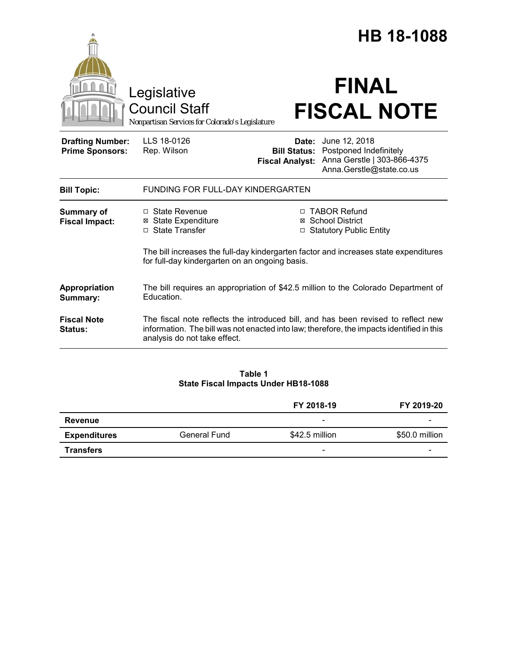|                                                   | Legislative<br><b>Council Staff</b><br>Nonpartisan Services for Colorado's Legislature                                                                                                                         |                        | <b>HB 18-1088</b><br><b>FINAL</b><br><b>FISCAL NOTE</b>                                                                                                       |  |
|---------------------------------------------------|----------------------------------------------------------------------------------------------------------------------------------------------------------------------------------------------------------------|------------------------|---------------------------------------------------------------------------------------------------------------------------------------------------------------|--|
| <b>Drafting Number:</b><br><b>Prime Sponsors:</b> | LLS 18-0126<br>Rep. Wilson                                                                                                                                                                                     | <b>Fiscal Analyst:</b> | <b>Date:</b> June 12, 2018<br><b>Bill Status: Postponed Indefinitely</b><br>Anna Gerstle   303-866-4375<br>Anna.Gerstle@state.co.us                           |  |
| <b>Bill Topic:</b>                                | FUNDING FOR FULL-DAY KINDERGARTEN                                                                                                                                                                              |                        |                                                                                                                                                               |  |
| <b>Summary of</b><br><b>Fiscal Impact:</b>        | $\Box$ State Revenue<br>⊠ State Expenditure<br>□ State Transfer<br>for full-day kindergarten on an ongoing basis.                                                                                              | $\Box$                 | □ TABOR Refund<br>⊠ School District<br><b>Statutory Public Entity</b><br>The bill increases the full-day kindergarten factor and increases state expenditures |  |
| Appropriation<br>Summary:                         | The bill requires an appropriation of \$42.5 million to the Colorado Department of<br>Education.                                                                                                               |                        |                                                                                                                                                               |  |
| <b>Fiscal Note</b><br>Status:                     | The fiscal note reflects the introduced bill, and has been revised to reflect new<br>information. The bill was not enacted into law; therefore, the impacts identified in this<br>analysis do not take effect. |                        |                                                                                                                                                               |  |
|                                                   |                                                                                                                                                                                                                |                        |                                                                                                                                                               |  |

#### **Table 1 State Fiscal Impacts Under HB18-1088**

|                     |                     | FY 2018-19               | FY 2019-20               |
|---------------------|---------------------|--------------------------|--------------------------|
| <b>Revenue</b>      |                     | $\overline{\phantom{0}}$ | $\overline{\phantom{0}}$ |
| <b>Expenditures</b> | <b>General Fund</b> | \$42.5 million           | \$50.0 million           |
| <b>Transfers</b>    |                     | $\overline{\phantom{0}}$ | -                        |